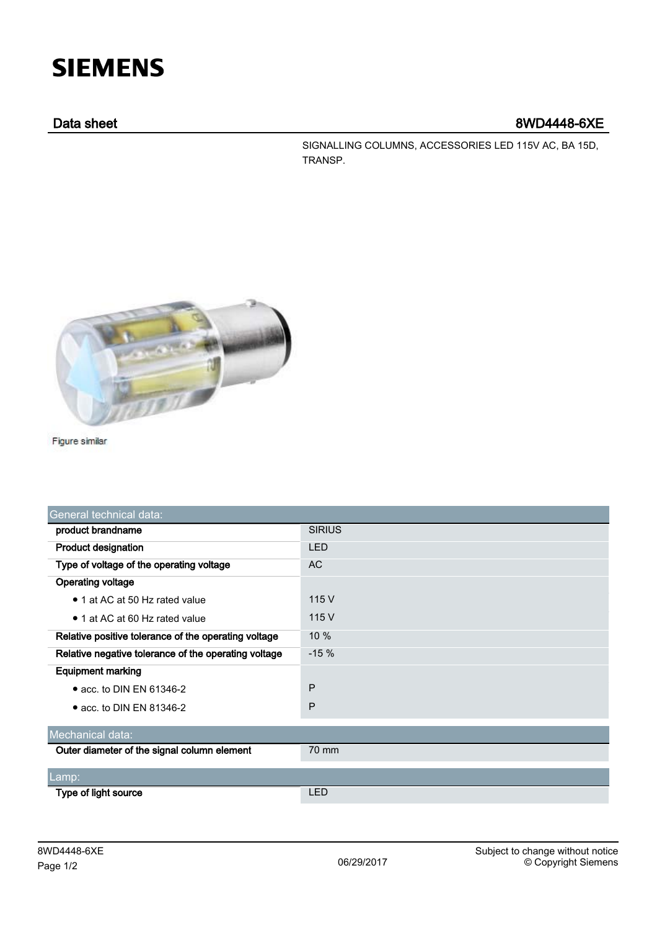# **SIEMENS**

## Data sheet 8WD4448-6XE

SIGNALLING COLUMNS, ACCESSORIES LED 115V AC, BA 15D, TRANSP.



Figure similar

| General technical data:                              |               |
|------------------------------------------------------|---------------|
| product brandname                                    | <b>SIRIUS</b> |
| <b>Product designation</b>                           | <b>LED</b>    |
| Type of voltage of the operating voltage             | <b>AC</b>     |
| <b>Operating voltage</b>                             |               |
| • 1 at AC at 50 Hz rated value                       | 115 V         |
| • 1 at AC at 60 Hz rated value                       | 115 V         |
| Relative positive tolerance of the operating voltage | 10 %          |
| Relative negative tolerance of the operating voltage | $-15%$        |
| <b>Equipment marking</b>                             |               |
| $\bullet$ acc. to DIN EN 61346-2                     | P             |
| $\bullet$ acc. to DIN EN 81346-2                     | P             |
| Mechanical data:                                     |               |
| Outer diameter of the signal column element          | 70 mm         |
|                                                      |               |
| Lamp:                                                |               |
| Type of light source                                 | <b>LED</b>    |
|                                                      |               |